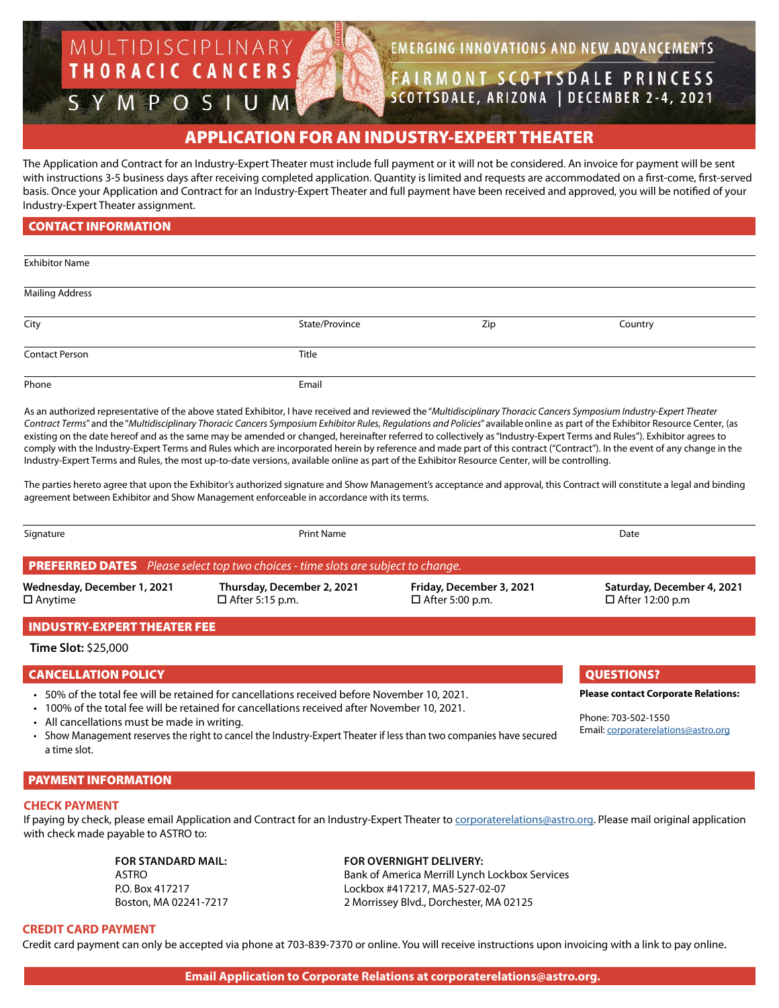MULTIDISCIPLINARY **THORACIC CANCERS** 

 $SS$  UM

SYMPO

# **EMERGING INNOVATIONS AND NEW ADVANCEMENTS**

**FAIRMONT SCOTTSDALE PRINCESS** SCOTTSDALE, ARIZONA | DECEMBER 2-4, 2021

# APPLICATION FOR AN INDUSTRY-EXPERT THEATER

The Application and Contract for an Industry-Expert Theater must include full payment or it will not be considered. An invoice for payment will be sent with instructions 3-5 business days after receiving completed application. Quantity is limited and requests are accommodated on a first-come, first-served basis. Once your Application and Contract for an Industry-Expert Theater and full payment have been received and approved, you will be notified of your Industry-Expert Theater assignment.

# CONTACT INFORMATION

| <b>Exhibitor Name</b>  |                |     |         |
|------------------------|----------------|-----|---------|
|                        |                |     |         |
| <b>Mailing Address</b> |                |     |         |
| City                   | State/Province | Zip | Country |
| <b>Contact Person</b>  | Title          |     |         |
|                        |                |     |         |
| Phone                  | Email          |     |         |

As an authorized representative of the above stated Exhibitor, I have received and reviewed the "*Multidisciplinary Thoracic Cancers Symposium Industry-Expert Theater Contract Terms*" and the "*Multidisciplinary Thoracic Cancers Symposium Exhibitor Rules, Regulations and Policies*" available online as part of the Exhibitor Resource Center, (as existing on the date hereof and as the same may be amended or changed, hereinafter referred to collectively as "Industry-Expert Terms and Rules"). Exhibitor agrees to comply with the Industry-Expert Terms and Rules which are incorporated herein by reference and made part of this contract ("Contract"). In the event of any change in the Industry-Expert Terms and Rules, the most up-to-date versions, available online as part of the Exhibitor Resource Center, will be controlling.

The parties hereto agree that upon the Exhibitor's authorized signature and Show Management's acceptance and approval, this Contract will constitute a legal and binding agreement between Exhibitor and Show Management enforceable in accordance with its terms.

| Signature                                                                                | Print Name                                           |                                                    | Date                                                 |  |  |
|------------------------------------------------------------------------------------------|------------------------------------------------------|----------------------------------------------------|------------------------------------------------------|--|--|
| <b>PREFERRED DATES</b> Please select top two choices - time slots are subject to change. |                                                      |                                                    |                                                      |  |  |
| Wednesday, December 1, 2021<br>$\Box$ Anytime                                            | Thursday, December 2, 2021<br>$\Box$ After 5:15 p.m. | Friday, December 3, 2021<br>$\Box$ After 5:00 p.m. | Saturday, December 4, 2021<br>$\Box$ After 12:00 p.m |  |  |
| <b>INDUSTRY-EXPERT THEATER FEE</b><br><b>Time Slot: \$25,000</b>                         |                                                      |                                                    |                                                      |  |  |

## CANCELLATION POLICY QUESTIONS?

- 50% of the total fee will be retained for cancellations received before November 10, 2021.
- 100% of the total fee will be retained for cancellations received after November 10, 2021.
- All cancellations must be made in writing.
- Show Management reserves the right to cancel the Industry-Expert Theater if less than two companies have secured a time slot.

# PAYMENT INFORMATION

# **CHECK PAYMENT**

If paying by check, please email Application and Contract for an Industry-Expert Theater to corporaterelations@astro.org. Please mail original application with check made payable to ASTRO to:

# **FOR STANDARD MAIL: FOR OVERNIGHT DELIVERY:**

ASTRO Bank of America Merrill Lynch Lockbox Services P.O. Box 417217 Lockbox #417217, MA5-527-02-07 Boston, MA 02241-7217 2 Morrissey Blvd., Dorchester, MA 02125

## **CREDIT CARD PAYMENT**

Credit card payment can only be accepted via phone at 703-839-7370 or online. You will receive instructions upon invoicing with a link to pay online.

**Please contact Corporate Relations:**

Phone: 703-502-1550 Email: [corporaterelations@astro.org](hcorporaterelations@astro.org)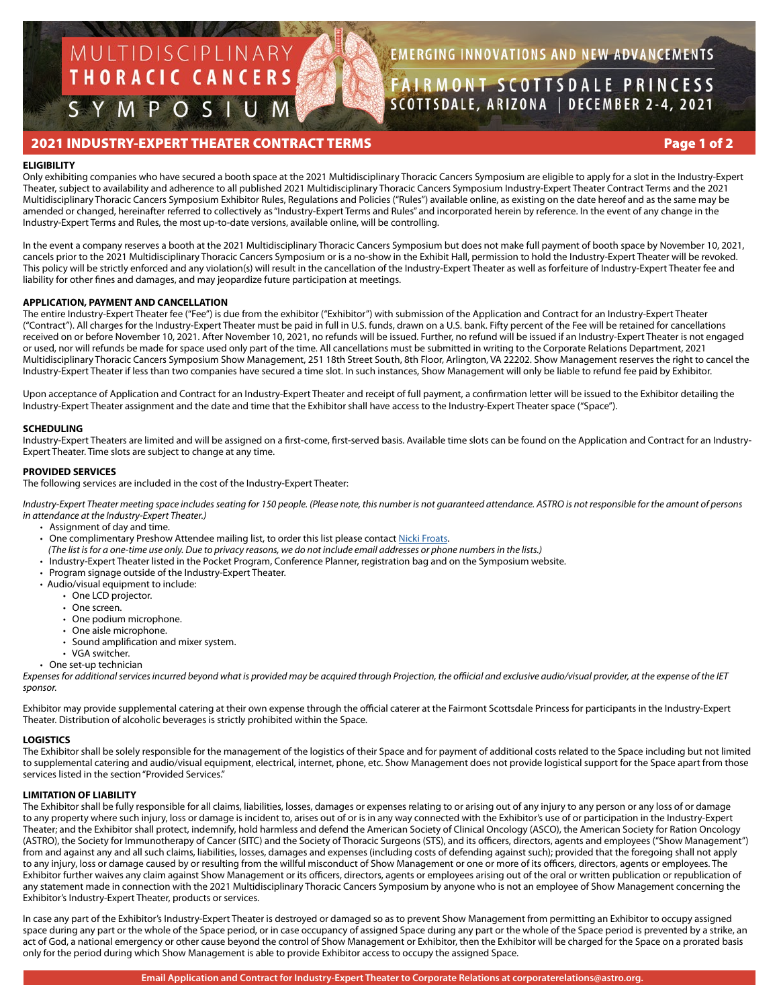# MULTIDISCIPLINARY **THORACIC CANCERS** SYMPOSIUM

# **EMERGING INNOVATIONS AND NEW ADVANCEMENTS**

FAIRMONT SCOTTSDALE PRINCESS SCOTTSDALE, ARIZONA | DECEMBER 2-4, 2021

# 2021 INDUSTRY-EXPERT THEATER CONTRACT TERMS Page 1 of 2

#### **ELIGIBILITY**

Only exhibiting companies who have secured a booth space at the 2021 Multidisciplinary Thoracic Cancers Symposium are eligible to apply for a slot in the Industry-Expert Theater, subject to availability and adherence to all published 2021 Multidisciplinary Thoracic Cancers Symposium Industry-Expert Theater Contract Terms and the 2021 Multidisciplinary Thoracic Cancers Symposium Exhibitor Rules, Regulations and Policies ("Rules") available online, as existing on the date hereof and as the same may be amended or changed, hereinafter referred to collectively as "Industry-Expert Terms and Rules" and incorporated herein by reference. In the event of any change in the Industry-Expert Terms and Rules, the most up-to-date versions, available online, will be controlling.

In the event a company reserves a booth at the 2021 Multidisciplinary Thoracic Cancers Symposium but does not make full payment of booth space by November 10, 2021, cancels prior to the 2021 Multidisciplinary Thoracic Cancers Symposium or is a no-show in the Exhibit Hall, permission to hold the Industry-Expert Theater will be revoked. This policy will be strictly enforced and any violation(s) will result in the cancellation of the Industry-Expert Theater as well as forfeiture of Industry-Expert Theater fee and liability for other fines and damages, and may jeopardize future participation at meetings.

#### **APPLICATION, PAYMENT AND CANCELLATION**

The entire Industry-Expert Theater fee ("Fee") is due from the exhibitor ("Exhibitor") with submission of the Application and Contract for an Industry-Expert Theater ("Contract"). All charges for the Industry-Expert Theater must be paid in full in U.S. funds, drawn on a U.S. bank. Fifty percent of the Fee will be retained for cancellations received on or before November 10, 2021. After November 10, 2021, no refunds will be issued. Further, no refund will be issued if an Industry-Expert Theater is not engaged or used, nor will refunds be made for space used only part of the time. All cancellations must be submitted in writing to the [Corporate Relations Department,](mailto:?subject=) 2021 Multidisciplinary Thoracic Cancers Symposium Show Management, 251 18th Street South, 8th Floor, Arlington, VA 22202. Show Management reserves the right to cancel the Industry-Expert Theater if less than two companies have secured a time slot. In such instances, Show Management will only be liable to refund fee paid by Exhibitor.

Upon acceptance of Application and Contract for an Industry-Expert Theater and receipt of full payment, a confirmation letter will be issued to the Exhibitor detailing the Industry-Expert Theater assignment and the date and time that the Exhibitor shall have access to the Industry-Expert Theater space ("Space").

#### **SCHEDULING**

Industry-Expert Theaters are limited and will be assigned on a first-come, first-served basis. Available time slots can be found on the Application and Contract for an Industry-Expert Theater. Time slots are subject to change at any time.

#### **PROVIDED SERVICES**

The following services are included in the cost of the Industry-Expert Theater:

*Industry-Expert Theater meeting space includes seating for 150 people. (Please note, this number is not guaranteed attendance. ASTRO is not responsible for the amount of persons in attendance at the Industry-Expert Theater.)*

- Assignment of day and time.
- One complimentary Preshow Attendee mailing list, to order this list please contact [Nicki Froats.](mailto:nicole.froats%40astro.org?subject=)
	- *(The list is for a one-time use only. Due to privacy reasons, we do not include email addresses or phone numbers in the lists.)*
- Industry-Expert Theater listed in the Pocket Program, Conference Planner, registration bag and on the Symposium website.
- Program signage outside of the Industry-Expert Theater.
- Audio/visual equipment to include:
	- One LCD projector.
	- One screen.
	- One podium microphone.
	- One aisle microphone.
	- Sound amplification and mixer system.
	- VGA switcher.
- One set-up technician

*Expenses for additional services incurred beyond what is provided may be acquired through Projection, the offiicial and exclusive audio/visual provider, at the expense of the IET sponsor.*

Exhibitor may provide supplemental catering at their own expense through the official caterer at the Fairmont Scottsdale Princess for participants in the Industry-Expert Theater. Distribution of alcoholic beverages is strictly prohibited within the Space.

#### **LOGISTICS**

The Exhibitor shall be solely responsible for the management of the logistics of their Space and for payment of additional costs related to the Space including but not limited to supplemental catering and audio/visual equipment, electrical, internet, phone, etc. Show Management does not provide logistical support for the Space apart from those services listed in the section "Provided Services."

#### **LIMITATION OF LIABILITY**

The Exhibitor shall be fully responsible for all claims, liabilities, losses, damages or expenses relating to or arising out of any injury to any person or any loss of or damage to any property where such injury, loss or damage is incident to, arises out of or is in any way connected with the Exhibitor's use of or participation in the Industry-Expert Theater; and the Exhibitor shall protect, indemnify, hold harmless and defend the American Society of Clinical Oncology (ASCO), the American Society for Ration Oncology (ASTRO), the Society for Immunotherapy of Cancer (SITC) and the Society of Thoracic Surgeons (STS), and its officers, directors, agents and employees ("Show Management") from and against any and all such claims, liabilities, losses, damages and expenses (including costs of defending against such); provided that the foregoing shall not apply to any injury, loss or damage caused by or resulting from the willful misconduct of Show Management or one or more of its officers, directors, agents or employees. The Exhibitor further waives any claim against Show Management or its officers, directors, agents or employees arising out of the oral or written publication or republication of any statement made in connection with the 2021 Multidisciplinary Thoracic Cancers Symposium by anyone who is not an employee of Show Management concerning the Exhibitor's Industry-Expert Theater, products or services.

In case any part of the Exhibitor's Industry-Expert Theater is destroyed or damaged so as to prevent Show Management from permitting an Exhibitor to occupy assigned space during any part or the whole of the Space period, or in case occupancy of assigned Space during any part or the whole of the Space period is prevented by a strike, an act of God, a national emergency or other cause beyond the control of Show Management or Exhibitor, then the Exhibitor will be charged for the Space on a prorated basis only for the period during which Show Management is able to provide Exhibitor access to occupy the assigned Space.